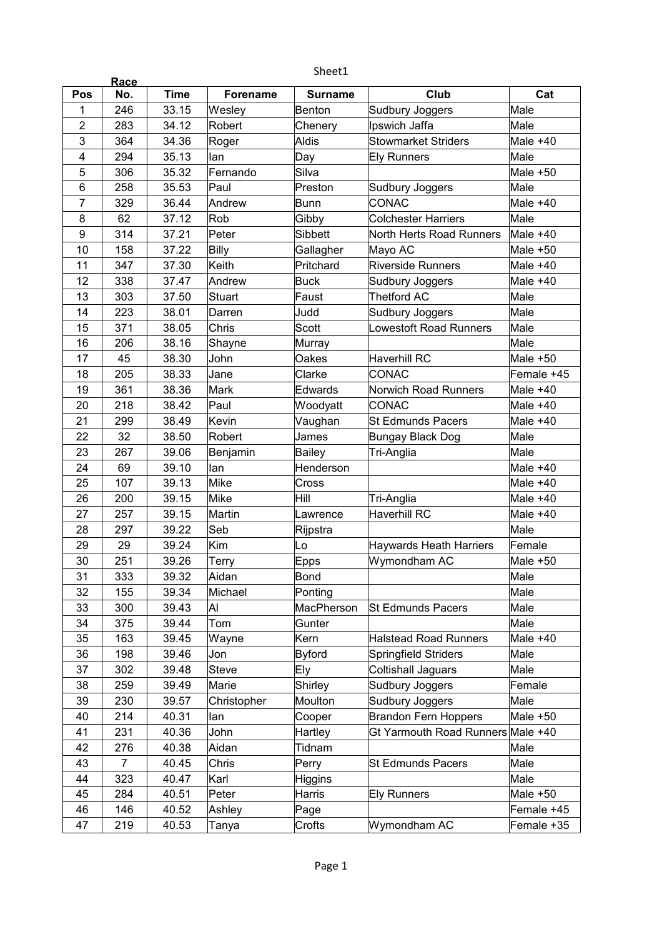|                         | Race           |             |                 | Sheet1         |                                   |            |
|-------------------------|----------------|-------------|-----------------|----------------|-----------------------------------|------------|
| Pos                     | No.            | <b>Time</b> | <b>Forename</b> | <b>Surname</b> | Club                              | Cat        |
| 1                       | 246            | 33.15       | Wesley          | <b>Benton</b>  | Sudbury Joggers                   | Male       |
| $\overline{2}$          | 283            | 34.12       | Robert          | Chenery        | Ipswich Jaffa                     | Male       |
| 3                       | 364            | 34.36       | Roger           | <b>Aldis</b>   | <b>Stowmarket Striders</b>        | Male $+40$ |
| $\overline{\mathbf{4}}$ | 294            | 35.13       | lan             | Day            | <b>Ely Runners</b>                | Male       |
| 5                       | 306            | 35.32       | Fernando        | Silva          |                                   | Male $+50$ |
| 6                       | 258            | 35.53       | Paul            | Preston        | Sudbury Joggers                   | Male       |
| 7                       | 329            | 36.44       | Andrew          | Bunn           | CONAC                             | Male +40   |
| 8                       | 62             | 37.12       | Rob             | Gibby          | <b>Colchester Harriers</b>        | Male       |
| 9                       | 314            | 37.21       | Peter           | Sibbett        | North Herts Road Runners          | Male +40   |
| 10                      | 158            | 37.22       | <b>Billy</b>    | Gallagher      | Mayo AC                           | Male $+50$ |
| 11                      | 347            | 37.30       | Keith           | Pritchard      | <b>Riverside Runners</b>          | Male $+40$ |
| 12                      | 338            | 37.47       | Andrew          | <b>Buck</b>    | Sudbury Joggers                   | Male $+40$ |
| 13                      | 303            | 37.50       | Stuart          | Faust          | <b>Thetford AC</b>                | Male       |
| 14                      | 223            | 38.01       | Darren          | Judd           | Sudbury Joggers                   | Male       |
| 15                      | 371            | 38.05       | Chris           | Scott          | <b>Lowestoft Road Runners</b>     | Male       |
| 16                      | 206            | 38.16       | Shayne          | Murray         |                                   | Male       |
| 17                      | 45             | 38.30       | John            | Oakes          | Haverhill RC                      | Male $+50$ |
| 18                      | 205            | 38.33       | Jane            | Clarke         | <b>CONAC</b>                      | Female +45 |
| 19                      | 361            | 38.36       | Mark            | Edwards        | Norwich Road Runners              | Male +40   |
| 20                      | 218            | 38.42       | Paul            | Woodyatt       | CONAC                             | Male $+40$ |
| 21                      | 299            | 38.49       | Kevin           | Vaughan        | <b>St Edmunds Pacers</b>          | Male $+40$ |
| 22                      | 32             | 38.50       | Robert          | James          | Bungay Black Dog                  | Male       |
| 23                      | 267            | 39.06       | Benjamin        | Bailey         | Tri-Anglia                        | Male       |
| 24                      | 69             | 39.10       | lan             | Henderson      |                                   | Male $+40$ |
| 25                      | 107            | 39.13       | Mike            | Cross          |                                   | Male $+40$ |
| 26                      | 200            | 39.15       | Mike            | Hill           | Tri-Anglia                        | Male $+40$ |
| 27                      | 257            | 39.15       | Martin          | Lawrence       | <b>Haverhill RC</b>               | Male $+40$ |
| 28                      | 297            | 39.22       | Seb             | Rijpstra       |                                   | Male       |
| 29                      | 29             | 39.24       | Kim             | Lo             | <b>Haywards Heath Harriers</b>    | Female     |
| 30                      | 251            | 39.26       | Terry           | Epps           | Wymondham AC                      | Male +50   |
| 31                      | 333            | 39.32       | Aidan           | <b>Bond</b>    |                                   | Male       |
| 32                      | 155            | 39.34       | Michael         | Ponting        |                                   | Male       |
| 33                      | 300            | 39.43       | Al              | MacPherson     | <b>St Edmunds Pacers</b>          | Male       |
| 34                      | 375            | 39.44       | Tom             | Gunter         |                                   | Male       |
| 35                      | 163            | 39.45       | Wayne           | Kern           | <b>Halstead Road Runners</b>      | Male +40   |
| 36                      | 198            | 39.46       | Jon             | <b>Byford</b>  | Springfield Striders              | Male       |
| 37                      | 302            | 39.48       | <b>Steve</b>    | Ely            | <b>Coltishall Jaguars</b>         | Male       |
| 38                      | 259            | 39.49       | Marie           | Shirley        | Sudbury Joggers                   | Female     |
| 39                      | 230            | 39.57       | Christopher     | Moulton        | Sudbury Joggers                   | Male       |
| 40                      | 214            | 40.31       | lan             | Cooper         | <b>Brandon Fern Hoppers</b>       | Male $+50$ |
| 41                      | 231            | 40.36       | John            | Hartley        | Gt Yarmouth Road Runners Male +40 |            |
| 42                      | 276            | 40.38       | Aidan           | Tidnam         |                                   | Male       |
| 43                      | $\overline{7}$ | 40.45       | Chris           | Perry          | <b>St Edmunds Pacers</b>          | Male       |
| 44                      | 323            | 40.47       | Karl            | Higgins        |                                   | Male       |
| 45                      | 284            | 40.51       | Peter           | Harris         | <b>Ely Runners</b>                | Male $+50$ |
| 46                      | 146            | 40.52       | Ashley          | Page           |                                   | Female +45 |
| 47                      | 219            | 40.53       | Tanya           | Crofts         | Wymondham AC                      | Female +35 |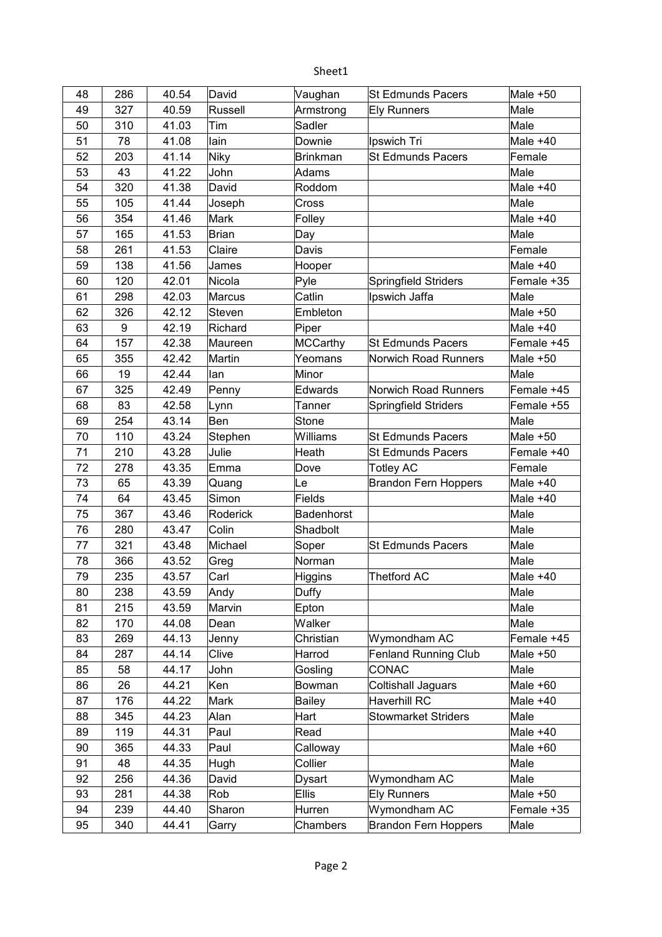| 48 | 286 | 40.54 | David         | Vaughan         | <b>St Edmunds Pacers</b>    | Male +50   |
|----|-----|-------|---------------|-----------------|-----------------------------|------------|
| 49 | 327 | 40.59 | Russell       | Armstrong       | <b>Ely Runners</b>          | Male       |
| 50 | 310 | 41.03 | Tim           | Sadler          |                             | Male       |
| 51 | 78  | 41.08 | lain          | Downie          | Ipswich Tri                 | Male +40   |
| 52 | 203 | 41.14 | <b>Niky</b>   | <b>Brinkman</b> | <b>St Edmunds Pacers</b>    | Female     |
| 53 | 43  | 41.22 | John          | Adams           |                             | Male       |
| 54 | 320 | 41.38 | David         | Roddom          |                             | Male +40   |
| 55 | 105 | 41.44 | Joseph        | Cross           |                             | Male       |
| 56 | 354 | 41.46 | Mark          | Folley          |                             | Male +40   |
| 57 | 165 | 41.53 | <b>Brian</b>  | Day             |                             | Male       |
| 58 | 261 | 41.53 | Claire        | Davis           |                             | Female     |
| 59 | 138 | 41.56 | James         | Hooper          |                             | Male +40   |
| 60 | 120 | 42.01 | Nicola        | Pyle            | Springfield Striders        | Female +35 |
| 61 | 298 | 42.03 | <b>Marcus</b> | Catlin          | Ipswich Jaffa               | Male       |
| 62 | 326 | 42.12 | Steven        | Embleton        |                             | Male $+50$ |
| 63 | 9   | 42.19 | Richard       | Piper           |                             | Male +40   |
| 64 | 157 | 42.38 | Maureen       | <b>MCCarthy</b> | <b>St Edmunds Pacers</b>    | Female +45 |
| 65 | 355 | 42.42 | Martin        | Yeomans         | Norwich Road Runners        | Male +50   |
| 66 | 19  | 42.44 | lan           | Minor           |                             | Male       |
| 67 | 325 | 42.49 | Penny         | Edwards         | Norwich Road Runners        | Female +45 |
| 68 | 83  | 42.58 | Lynn          | Tanner          | Springfield Striders        | Female +55 |
| 69 | 254 | 43.14 | Ben           | <b>Stone</b>    |                             | Male       |
| 70 | 110 | 43.24 | Stephen       | Williams        | <b>St Edmunds Pacers</b>    | Male +50   |
| 71 | 210 | 43.28 | Julie         | Heath           | St Edmunds Pacers           | Female +40 |
| 72 | 278 | 43.35 | Emma          | Dove            | <b>Totley AC</b>            | Female     |
| 73 | 65  | 43.39 | Quang         | Le              | <b>Brandon Fern Hoppers</b> | Male +40   |
| 74 | 64  | 43.45 | Simon         | <b>Fields</b>   |                             | Male +40   |
| 75 | 367 | 43.46 | Roderick      | Badenhorst      |                             | Male       |
| 76 | 280 | 43.47 | Colin         | Shadbolt        |                             | Male       |
| 77 | 321 | 43.48 | Michael       | Soper           | <b>St Edmunds Pacers</b>    | Male       |
| 78 | 366 | 43.52 | Greg          | Norman          |                             | Male       |
| 79 | 235 | 43.57 | Carl          | Higgins         | <b>Thetford AC</b>          | Male +40   |
| 80 | 238 | 43.59 | Andy          | Duffy           |                             | Male       |
| 81 | 215 | 43.59 | Marvin        | Epton           |                             | Male       |
| 82 | 170 | 44.08 | Dean          | Walker          |                             | Male       |
| 83 | 269 | 44.13 | Jenny         | Christian       | Wymondham AC                | Female +45 |
| 84 | 287 | 44.14 | Clive         | Harrod          | <b>Fenland Running Club</b> | Male $+50$ |
| 85 | 58  | 44.17 | John          | Gosling         | CONAC                       | Male       |
| 86 | 26  | 44.21 | Ken           | Bowman          | <b>Coltishall Jaguars</b>   | Male +60   |
| 87 | 176 | 44.22 | Mark          | <b>Bailey</b>   | Haverhill RC                | Male +40   |
| 88 | 345 | 44.23 | Alan          | Hart            | <b>Stowmarket Striders</b>  | Male       |
| 89 | 119 | 44.31 | Paul          | Read            |                             | Male +40   |
| 90 | 365 | 44.33 | Paul          | Calloway        |                             | Male +60   |
| 91 | 48  | 44.35 | Hugh          | Collier         |                             | Male       |
| 92 | 256 | 44.36 | David         | Dysart          | Wymondham AC                | Male       |
| 93 | 281 | 44.38 | Rob           | <b>Ellis</b>    | <b>Ely Runners</b>          | Male +50   |
| 94 | 239 | 44.40 | Sharon        | Hurren          | Wymondham AC                | Female +35 |
| 95 | 340 | 44.41 | Garry         | Chambers        | <b>Brandon Fern Hoppers</b> | Male       |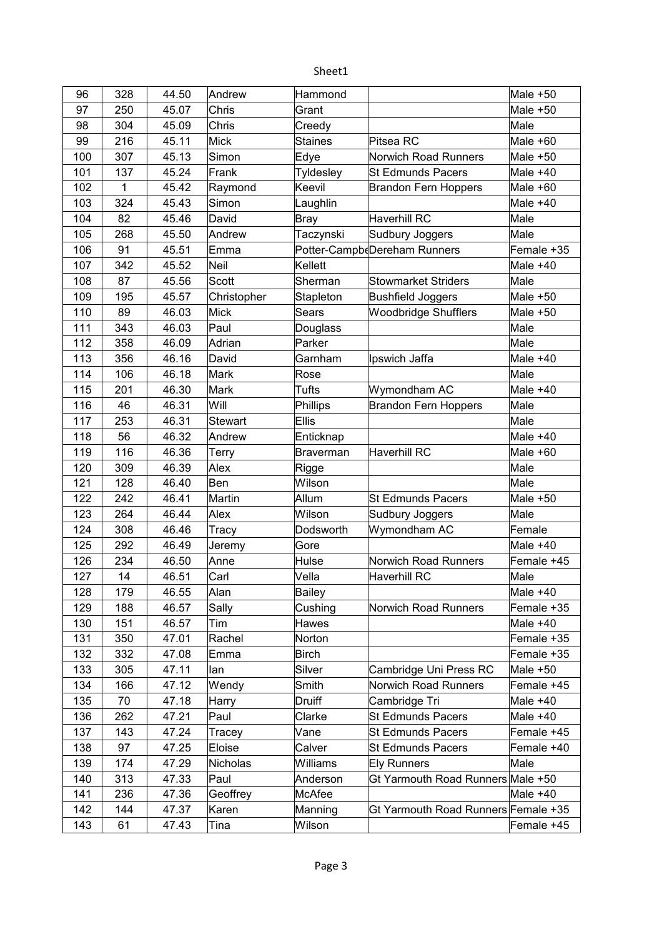| 96  | 328 | 44.50 | Andrew         | Hammond          |                                     | Male +50   |
|-----|-----|-------|----------------|------------------|-------------------------------------|------------|
| 97  | 250 | 45.07 | Chris          | Grant            |                                     | Male +50   |
| 98  | 304 | 45.09 | Chris          | Creedy           |                                     | Male       |
| 99  | 216 | 45.11 | Mick           | <b>Staines</b>   | Pitsea RC                           | Male +60   |
| 100 | 307 | 45.13 | Simon          | Edye             | Norwich Road Runners                | Male +50   |
| 101 | 137 | 45.24 | Frank          | Tyldesley        | <b>St Edmunds Pacers</b>            | Male $+40$ |
| 102 | 1   | 45.42 | Raymond        | Keevil           | <b>Brandon Fern Hoppers</b>         | Male $+60$ |
| 103 | 324 | 45.43 | Simon          | Laughlin         |                                     | Male +40   |
| 104 | 82  | 45.46 | David          | <b>Bray</b>      | Haverhill RC                        | Male       |
| 105 | 268 | 45.50 | Andrew         | Taczynski        | Sudbury Joggers                     | Male       |
| 106 | 91  | 45.51 | Emma           |                  | Potter-CampbeDereham Runners        | Female +35 |
| 107 | 342 | 45.52 | <b>Neil</b>    | Kellett          |                                     | Male $+40$ |
| 108 | 87  | 45.56 | Scott          | Sherman          | <b>Stowmarket Striders</b>          | Male       |
| 109 | 195 | 45.57 | Christopher    | Stapleton        | <b>Bushfield Joggers</b>            | Male +50   |
| 110 | 89  | 46.03 | <b>Mick</b>    | Sears            | <b>Woodbridge Shufflers</b>         | Male $+50$ |
| 111 | 343 | 46.03 | Paul           | Douglass         |                                     | Male       |
| 112 | 358 | 46.09 | Adrian         | Parker           |                                     | Male       |
| 113 | 356 | 46.16 | David          | Garnham          | Ipswich Jaffa                       | Male $+40$ |
| 114 | 106 | 46.18 | Mark           | Rose             |                                     | Male       |
| 115 | 201 | 46.30 | Mark           | Tufts            | Wymondham AC                        | Male +40   |
| 116 | 46  | 46.31 | Will           | Phillips         | <b>Brandon Fern Hoppers</b>         | Male       |
| 117 | 253 | 46.31 | <b>Stewart</b> | <b>Ellis</b>     |                                     | Male       |
| 118 | 56  | 46.32 | Andrew         | Enticknap        |                                     | Male +40   |
| 119 | 116 | 46.36 | Terry          | <b>Braverman</b> | <b>Haverhill RC</b>                 | Male +60   |
| 120 | 309 | 46.39 | Alex           | Rigge            |                                     | Male       |
| 121 | 128 | 46.40 | Ben            | Wilson           |                                     | Male       |
| 122 | 242 | 46.41 | Martin         | Allum            | <b>St Edmunds Pacers</b>            | Male $+50$ |
| 123 | 264 | 46.44 | Alex           | Wilson           | Sudbury Joggers                     | Male       |
| 124 | 308 | 46.46 | Tracy          | Dodsworth        | Wymondham AC                        | Female     |
| 125 | 292 | 46.49 | Jeremy         | Gore             |                                     | Male $+40$ |
| 126 | 234 | 46.50 | Anne           | Hulse            | Norwich Road Runners                | Female +45 |
| 127 | 14  | 46.51 | Carl           | Vella            | Haverhill RC                        | Male       |
| 128 | 179 | 46.55 | Alan           | <b>Bailey</b>    |                                     | Male +40   |
| 129 | 188 | 46.57 | Sally          | Cushing          | Norwich Road Runners                | Female +35 |
| 130 | 151 | 46.57 | Tim            | Hawes            |                                     | Male +40   |
| 131 | 350 | 47.01 | Rachel         | Norton           |                                     | Female +35 |
| 132 | 332 | 47.08 | Emma           | <b>Birch</b>     |                                     | Female +35 |
| 133 | 305 | 47.11 | lan            | Silver           | Cambridge Uni Press RC              | Male +50   |
| 134 | 166 | 47.12 | Wendy          | Smith            | Norwich Road Runners                | Female +45 |
| 135 | 70  | 47.18 | Harry          | Druiff           | Cambridge Tri                       | Male +40   |
| 136 | 262 | 47.21 | Paul           | Clarke           | <b>St Edmunds Pacers</b>            | Male +40   |
| 137 | 143 | 47.24 | Tracey         | Vane             | St Edmunds Pacers                   | Female +45 |
| 138 | 97  | 47.25 | Eloise         | Calver           | St Edmunds Pacers                   | Female +40 |
| 139 | 174 | 47.29 | Nicholas       | Williams         | <b>Ely Runners</b>                  | Male       |
| 140 | 313 | 47.33 | Paul           | Anderson         | Gt Yarmouth Road Runners Male +50   |            |
| 141 | 236 | 47.36 | Geoffrey       | McAfee           |                                     | Male +40   |
| 142 | 144 | 47.37 | Karen          | Manning          | Gt Yarmouth Road Runners Female +35 |            |
| 143 | 61  | 47.43 | Tina           | Wilson           |                                     | Female +45 |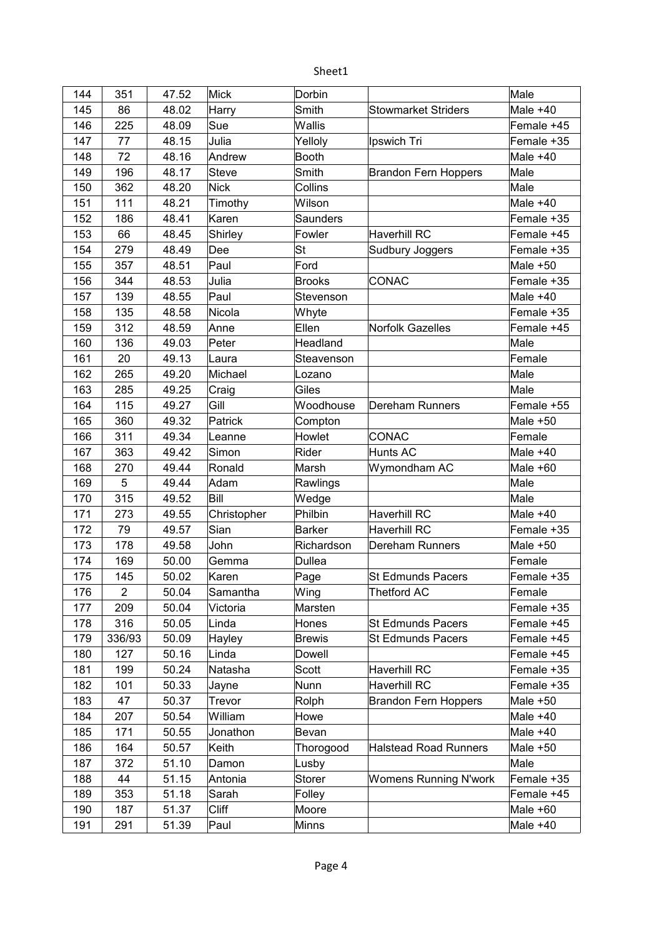| 144 | 351            | 47.52 | Mick         | Dorbin        |                              | Male       |
|-----|----------------|-------|--------------|---------------|------------------------------|------------|
| 145 | 86             | 48.02 | Harry        | Smith         | <b>Stowmarket Striders</b>   | Male $+40$ |
| 146 | 225            | 48.09 | Sue          | Wallis        |                              | Female +45 |
| 147 | 77             | 48.15 | Julia        | Yelloly       | Ipswich Tri                  | Female +35 |
| 148 | 72             | 48.16 | Andrew       | Booth         |                              | Male $+40$ |
| 149 | 196            | 48.17 | <b>Steve</b> | Smith         | <b>Brandon Fern Hoppers</b>  | Male       |
| 150 | 362            | 48.20 | Nick         | Collins       |                              | Male       |
| 151 | 111            | 48.21 | Timothy      | Wilson        |                              | Male $+40$ |
| 152 | 186            | 48.41 | Karen        | Saunders      |                              | Female +35 |
| 153 | 66             | 48.45 | Shirley      | Fowler        | <b>Haverhill RC</b>          | Female +45 |
| 154 | 279            | 48.49 | Dee          | St            | Sudbury Joggers              | Female +35 |
| 155 | 357            | 48.51 | Paul         | Ford          |                              | Male $+50$ |
| 156 | 344            | 48.53 | Julia        | <b>Brooks</b> | CONAC                        | Female +35 |
| 157 | 139            | 48.55 | Paul         | Stevenson     |                              | Male $+40$ |
| 158 | 135            | 48.58 | Nicola       | Whyte         |                              | Female +35 |
| 159 | 312            | 48.59 | Anne         | Ellen         | <b>Norfolk Gazelles</b>      | Female +45 |
| 160 | 136            | 49.03 | Peter        | Headland      |                              | Male       |
| 161 | 20             | 49.13 | Laura        | Steavenson    |                              | Female     |
| 162 | 265            | 49.20 | Michael      | Lozano        |                              | Male       |
| 163 | 285            | 49.25 | Craig        | Giles         |                              | Male       |
| 164 | 115            | 49.27 | Gill         | Woodhouse     | Dereham Runners              | Female +55 |
| 165 | 360            | 49.32 | Patrick      | Compton       |                              | Male +50   |
| 166 | 311            | 49.34 | Leanne       | Howlet        | CONAC                        | Female     |
| 167 | 363            | 49.42 | Simon        | Rider         | Hunts AC                     | Male $+40$ |
| 168 | 270            | 49.44 | Ronald       | Marsh         | Wymondham AC                 | Male +60   |
| 169 | 5              | 49.44 | Adam         | Rawlings      |                              | Male       |
| 170 | 315            | 49.52 | Bill         | Wedge         |                              | Male       |
| 171 | 273            | 49.55 | Christopher  | Philbin       | <b>Haverhill RC</b>          | Male $+40$ |
| 172 | 79             | 49.57 | Sian         | Barker        | <b>Haverhill RC</b>          | Female +35 |
| 173 | 178            | 49.58 | John         | Richardson    | Dereham Runners              | Male $+50$ |
| 174 | 169            | 50.00 | Gemma        | <b>Dullea</b> |                              | Female     |
| 175 | 145            | 50.02 | Karen        | Page          | <b>St Edmunds Pacers</b>     | Female +35 |
| 176 | $\overline{2}$ | 50.04 | Samantha     | Wing          | Thetford AC                  | Female     |
| 177 | 209            | 50.04 | Victoria     | Marsten       |                              | Female +35 |
| 178 | 316            | 50.05 | Linda        | Hones         | St Edmunds Pacers            | Female +45 |
| 179 | 336/93         | 50.09 | Hayley       | <b>Brewis</b> | <b>St Edmunds Pacers</b>     | Female +45 |
| 180 | 127            | 50.16 | Linda        | Dowell        |                              | Female +45 |
| 181 | 199            | 50.24 | Natasha      | Scott         | <b>Haverhill RC</b>          | Female +35 |
| 182 | 101            | 50.33 | Jayne        | Nunn          | <b>Haverhill RC</b>          | Female +35 |
| 183 | 47             | 50.37 | Trevor       | Rolph         | <b>Brandon Fern Hoppers</b>  | Male +50   |
| 184 | 207            | 50.54 | William      | Howe          |                              | Male $+40$ |
| 185 | 171            | 50.55 | Jonathon     | Bevan         |                              | Male $+40$ |
| 186 | 164            | 50.57 | Keith        | Thorogood     | <b>Halstead Road Runners</b> | Male +50   |
| 187 | 372            | 51.10 | Damon        | Lusby         |                              | Male       |
| 188 | 44             | 51.15 | Antonia      | <b>Storer</b> | <b>Womens Running N'work</b> | Female +35 |
| 189 | 353            | 51.18 | Sarah        | Folley        |                              | Female +45 |
| 190 | 187            | 51.37 | <b>Cliff</b> | Moore         |                              | Male +60   |
| 191 | 291            | 51.39 | Paul         | Minns         |                              | Male $+40$ |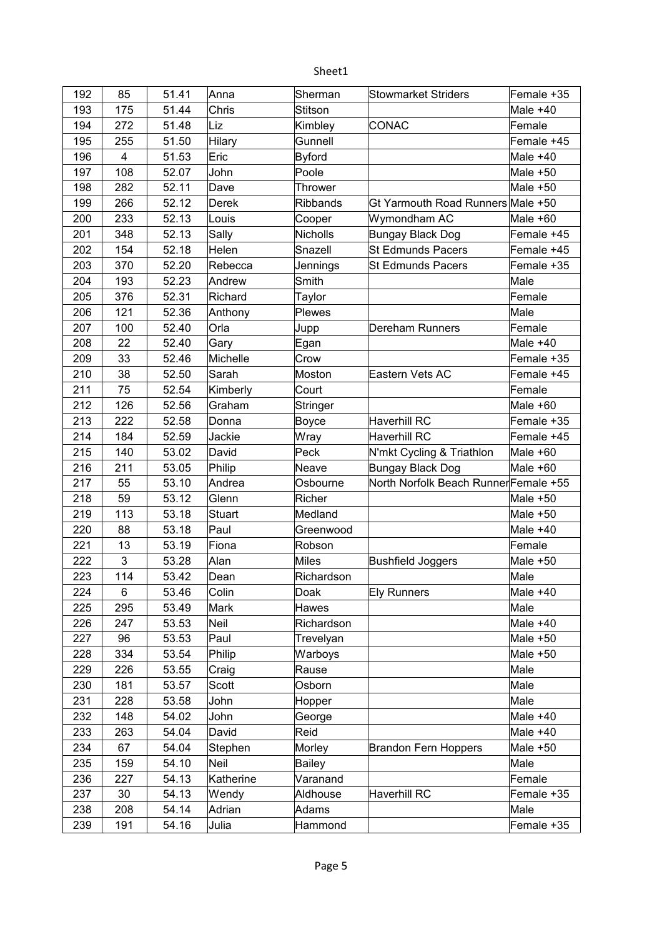| 192 | 85                      | 51.41 | Anna          | Sherman         | <b>Stowmarket Striders</b>            | Female +35 |
|-----|-------------------------|-------|---------------|-----------------|---------------------------------------|------------|
| 193 | 175                     | 51.44 | Chris         | Stitson         |                                       | Male +40   |
| 194 | 272                     | 51.48 | Liz           | Kimbley         | <b>CONAC</b>                          | Female     |
| 195 | 255                     | 51.50 | Hilary        | Gunnell         |                                       | Female +45 |
| 196 | $\overline{\mathbf{4}}$ | 51.53 | Eric          | <b>Byford</b>   |                                       | Male +40   |
| 197 | 108                     | 52.07 | John          | Poole           |                                       | Male +50   |
| 198 | 282                     | 52.11 | Dave          | <b>Thrower</b>  |                                       | Male +50   |
| 199 | 266                     | 52.12 | Derek         | <b>Ribbands</b> | Gt Yarmouth Road Runners Male +50     |            |
| 200 | 233                     | 52.13 | Louis         | Cooper          | Wymondham AC                          | Male +60   |
| 201 | 348                     | 52.13 | Sally         | Nicholls        | <b>Bungay Black Dog</b>               | Female +45 |
| 202 | 154                     | 52.18 | Helen         | Snazell         | <b>St Edmunds Pacers</b>              | Female +45 |
| 203 | 370                     | 52.20 | Rebecca       | Jennings        | <b>St Edmunds Pacers</b>              | Female +35 |
| 204 | 193                     | 52.23 | Andrew        | Smith           |                                       | Male       |
| 205 | 376                     | 52.31 | Richard       | Taylor          |                                       | Female     |
| 206 | 121                     | 52.36 | Anthony       | Plewes          |                                       | Male       |
| 207 | 100                     | 52.40 | Orla          | Jupp            | Dereham Runners                       | Female     |
| 208 | 22                      | 52.40 | Gary          | Egan            |                                       | Male +40   |
| 209 | 33                      | 52.46 | Michelle      | Crow            |                                       | Female +35 |
| 210 | 38                      | 52.50 | Sarah         | Moston          | Eastern Vets AC                       | Female +45 |
| 211 | 75                      | 52.54 | Kimberly      | Court           |                                       | Female     |
| 212 | 126                     | 52.56 | Graham        | Stringer        |                                       | Male +60   |
| 213 | 222                     | 52.58 | Donna         | Boyce           | <b>Haverhill RC</b>                   | Female +35 |
| 214 | 184                     | 52.59 | Jackie        | Wray            | <b>Haverhill RC</b>                   | Female +45 |
| 215 | 140                     | 53.02 | David         | Peck            | N'mkt Cycling & Triathlon             | Male +60   |
| 216 | 211                     | 53.05 | Philip        | Neave           | <b>Bungay Black Dog</b>               | Male +60   |
| 217 | 55                      | 53.10 | Andrea        | Osbourne        | North Norfolk Beach Runner Female +55 |            |
| 218 | 59                      | 53.12 | Glenn         | Richer          |                                       | Male +50   |
| 219 | 113                     | 53.18 | <b>Stuart</b> | Medland         |                                       | Male +50   |
| 220 | 88                      | 53.18 | Paul          | Greenwood       |                                       | Male +40   |
| 221 | 13                      | 53.19 | Fiona         | Robson          |                                       | Female     |
| 222 | 3                       | 53.28 | Alan          | Miles           | <b>Bushfield Joggers</b>              | Male $+50$ |
| 223 | 114                     | 53.42 | Dean          | Richardson      |                                       | Male       |
| 224 | 6                       | 53.46 | Colin         | Doak            | <b>Ely Runners</b>                    | Male +40   |
| 225 | 295                     | 53.49 | Mark          | Hawes           |                                       | Male       |
| 226 | 247                     | 53.53 | Neil          | Richardson      |                                       | Male +40   |
| 227 | 96                      | 53.53 | Paul          | Trevelyan       |                                       | Male +50   |
| 228 | 334                     | 53.54 | Philip        | Warboys         |                                       | Male +50   |
| 229 | 226                     | 53.55 | Craig         | Rause           |                                       | Male       |
| 230 | 181                     | 53.57 | Scott         | Osborn          |                                       | Male       |
| 231 | 228                     | 53.58 | John          | Hopper          |                                       | Male       |
| 232 | 148                     | 54.02 | John          | George          |                                       | Male +40   |
| 233 | 263                     | 54.04 | David         | Reid            |                                       | Male +40   |
| 234 | 67                      | 54.04 | Stephen       | Morley          | <b>Brandon Fern Hoppers</b>           | Male $+50$ |
| 235 | 159                     | 54.10 | Neil          | <b>Bailey</b>   |                                       | Male       |
| 236 | 227                     | 54.13 | Katherine     | Varanand        |                                       | Female     |
| 237 | 30                      | 54.13 | Wendy         | Aldhouse        | <b>Haverhill RC</b>                   | Female +35 |
| 238 | 208                     | 54.14 | Adrian        | Adams           |                                       | Male       |
| 239 | 191                     | 54.16 | Julia         | Hammond         |                                       | Female +35 |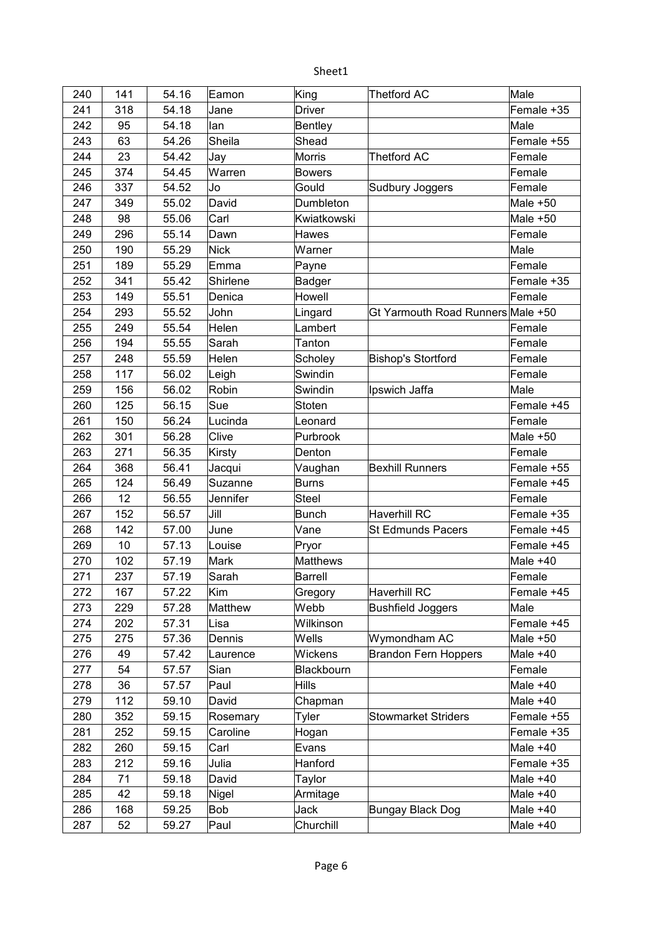| 240 | 141 | 54.16 | Eamon       | King            | <b>Thetford AC</b>                | Male       |
|-----|-----|-------|-------------|-----------------|-----------------------------------|------------|
| 241 | 318 | 54.18 | Jane        | <b>Driver</b>   |                                   | Female +35 |
| 242 | 95  | 54.18 | lan         | <b>Bentley</b>  |                                   | Male       |
| 243 | 63  | 54.26 | Sheila      | Shead           |                                   | Female +55 |
| 244 | 23  | 54.42 | Jay         | <b>Morris</b>   | <b>Thetford AC</b>                | Female     |
| 245 | 374 | 54.45 | Warren      | <b>Bowers</b>   |                                   | Female     |
| 246 | 337 | 54.52 | Jo          | Gould           | Sudbury Joggers                   | Female     |
| 247 | 349 | 55.02 | David       | Dumbleton       |                                   | Male +50   |
| 248 | 98  | 55.06 | Carl        | Kwiatkowski     |                                   | Male $+50$ |
| 249 | 296 | 55.14 | Dawn        | Hawes           |                                   | Female     |
| 250 | 190 | 55.29 | <b>Nick</b> | Warner          |                                   | Male       |
| 251 | 189 | 55.29 | Emma        | Payne           |                                   | Female     |
| 252 | 341 | 55.42 | Shirlene    | Badger          |                                   | Female +35 |
| 253 | 149 | 55.51 | Denica      | Howell          |                                   | Female     |
| 254 | 293 | 55.52 | John        | Lingard         | Gt Yarmouth Road Runners Male +50 |            |
| 255 | 249 | 55.54 | Helen       | Lambert         |                                   | Female     |
| 256 | 194 | 55.55 | Sarah       | Tanton          |                                   | Female     |
| 257 | 248 | 55.59 | Helen       | Scholey         | <b>Bishop's Stortford</b>         | Female     |
| 258 | 117 | 56.02 | Leigh       | Swindin         |                                   | Female     |
| 259 | 156 | 56.02 | Robin       | Swindin         | Ipswich Jaffa                     | Male       |
| 260 | 125 | 56.15 | Sue         | Stoten          |                                   | Female +45 |
| 261 | 150 | 56.24 | Lucinda     | Leonard         |                                   | Female     |
| 262 | 301 | 56.28 | Clive       | Purbrook        |                                   | Male +50   |
| 263 | 271 | 56.35 | Kirsty      | Denton          |                                   | Female     |
| 264 | 368 | 56.41 | Jacqui      | Vaughan         | <b>Bexhill Runners</b>            | Female +55 |
| 265 | 124 | 56.49 | Suzanne     | <b>Burns</b>    |                                   | Female +45 |
| 266 | 12  | 56.55 | Jennifer    | <b>Steel</b>    |                                   | Female     |
| 267 | 152 | 56.57 | Jill        | <b>Bunch</b>    | <b>Haverhill RC</b>               | Female +35 |
| 268 | 142 | 57.00 | June        | Vane            | <b>St Edmunds Pacers</b>          | Female +45 |
| 269 | 10  | 57.13 | Louise      | Pryor           |                                   | Female +45 |
| 270 | 102 | 57.19 | Mark        | <b>Matthews</b> |                                   | Male +40   |
| 271 | 237 | 57.19 | Sarah       | Barrell         |                                   | Female     |
| 272 | 167 | 57.22 | Kim         | Gregory         | <b>Haverhill RC</b>               | Female +45 |
| 273 | 229 | 57.28 | Matthew     | Webb            | <b>Bushfield Joggers</b>          | Male       |
| 274 | 202 | 57.31 | Lisa        | Wilkinson       |                                   | Female +45 |
| 275 | 275 | 57.36 | Dennis      | Wells           | Wymondham AC                      | Male $+50$ |
| 276 | 49  | 57.42 | Laurence    | Wickens         | <b>Brandon Fern Hoppers</b>       | Male $+40$ |
| 277 | 54  | 57.57 | Sian        | Blackbourn      |                                   | Female     |
| 278 | 36  | 57.57 | Paul        | Hills           |                                   | Male $+40$ |
| 279 | 112 | 59.10 | David       | Chapman         |                                   | Male +40   |
| 280 | 352 | 59.15 | Rosemary    | Tyler           | <b>Stowmarket Striders</b>        | Female +55 |
| 281 | 252 | 59.15 | Caroline    | Hogan           |                                   | Female +35 |
| 282 | 260 | 59.15 | Carl        | Evans           |                                   | Male +40   |
| 283 | 212 | 59.16 | Julia       | Hanford         |                                   | Female +35 |
| 284 | 71  | 59.18 | David       | Taylor          |                                   | Male $+40$ |
| 285 | 42  | 59.18 | Nigel       | Armitage        |                                   | Male +40   |
| 286 | 168 | 59.25 | Bob         | Jack            | Bungay Black Dog                  | Male +40   |
| 287 | 52  | 59.27 | Paul        | Churchill       |                                   | Male +40   |